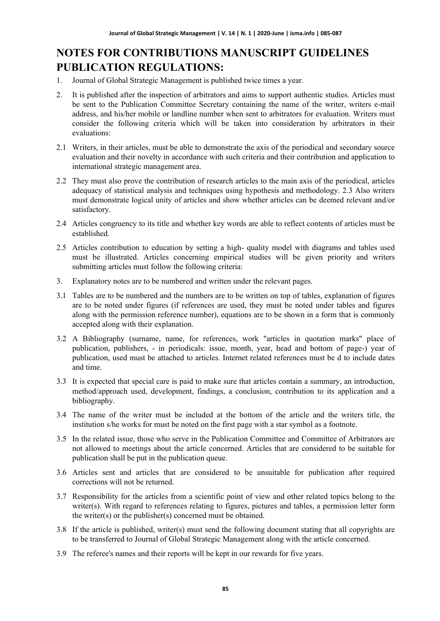# **NOTES FOR CONTRIBUTIONS MANUSCRIPT GUIDELINES PUBLICATION REGULATIONS:**

- 1. Journal of Global Strategic Management is published twice times a year.
- 2. It is published after the inspection of arbitrators and aims to support authentic studies. Articles must be sent to the Publication Committee Secretary containing the name of the writer, writers e-mail address, and his/her mobile or landline number when sent to arbitrators for evaluation. Writers must consider the following criteria which will be taken into consideration by arbitrators in their evaluations:
- 2.1 Writers, in their articles, must be able to demonstrate the axis of the periodical and secondary source evaluation and their novelty in accordance with such criteria and their contribution and application to international strategic management area.
- 2.2 They must also prove the contribution of research articles to the main axis of the periodical, articles adequacy of statistical analysis and techniques using hypothesis and methodology. 2.3 Also writers must demonstrate logical unity of articles and show whether articles can be deemed relevant and/or satisfactory.
- 2.4 Articles congruency to its title and whether key words are able to reflect contents of articles must be established.
- 2.5 Articles contribution to education by setting a high- quality model with diagrams and tables used must be illustrated. Articles concerning empirical studies will be given priority and writers submitting articles must follow the following criteria:
- 3. Explanatory notes are to be numbered and written under the relevant pages.
- 3.1 Tables are to be numbered and the numbers are to be written on top of tables, explanation of figures are to be noted under figures (if references are used, they must be noted under tables and figures along with the permission reference number), equations are to be shown in a form that is commonly accepted along with their explanation.
- 3.2 A Bibliography (surname, name, for references, work "articles in quotation marks" place of publication, publishers, - in periodicals: issue, month, year, head and bottom of page-) year of publication, used must be attached to articles. Internet related references must be d to include dates and time.
- 3.3 It is expected that special care is paid to make sure that articles contain a summary, an introduction, method/approach used, development, findings, a conclusion, contribution to its application and a bibliography.
- 3.4 The name of the writer must be included at the bottom of the article and the writers title, the institution s/he works for must be noted on the first page with a star symbol as a footnote.
- 3.5 In the related issue, those who serve in the Publication Committee and Committee of Arbitrators are not allowed to meetings about the article concerned. Articles that are considered to be suitable for publication shall be put in the publication queue.
- 3.6 Articles sent and articles that are considered to be unsuitable for publication after required corrections will not be returned.
- 3.7 Responsibility for the articles from a scientific point of view and other related topics belong to the writer(s). With regard to references relating to figures, pictures and tables, a permission letter form the writer(s) or the publisher(s) concerned must be obtained.
- 3.8 If the article is published, writer(s) must send the following document stating that all copyrights are to be transferred to Journal of Global Strategic Management along with the article concerned.
- 3.9 The referee's names and their reports will be kept in our rewards for five years.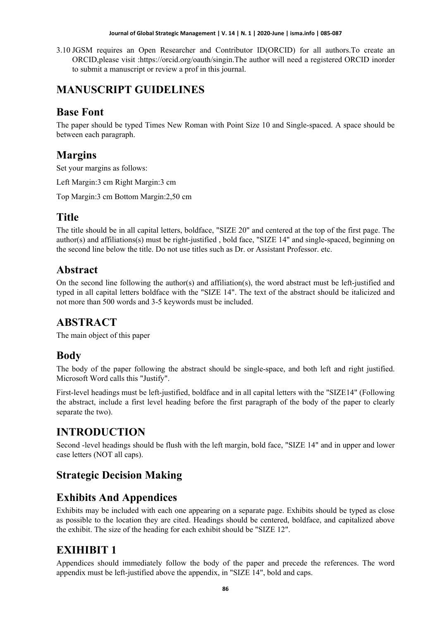#### **Journal of Global Strategic Management | V. 14 | N. 1 | 2020-June | isma.info | 085-087**

3.10 JGSM requires an Open Researcher and Contributor ID(ORCID) for all authors.To create an ORCID,please visit :https://orcid.org/oauth/singin.The author will need a registered ORCID inorder to submit a manuscript or review a prof in this journal.

## **MANUSCRIPT GUIDELINES**

## **Base Font**

The paper should be typed Times New Roman with Point Size 10 and Single-spaced. A space should be between each paragraph.

## **Margins**

Set your margins as follows:

Left Margin:3 cm Right Margin:3 cm

Top Margin:3 cm Bottom Margin:2,50 cm

## **Title**

The title should be in all capital letters, boldface, "SIZE 20" and centered at the top of the first page. The author(s) and affiliations(s) must be right-justified , bold face, "SIZE 14" and single-spaced, beginning on the second line below the title. Do not use titles such as Dr. or Assistant Professor. etc.

#### **Abstract**

On the second line following the author(s) and affiliation(s), the word abstract must be left-justified and typed in all capital letters boldface with the "SIZE 14". The text of the abstract should be italicized and not more than 500 words and 3-5 keywords must be included.

## **ABSTRACT**

The main object of this paper

## **Body**

The body of the paper following the abstract should be single-space, and both left and right justified. Microsoft Word calls this "Justify".

First-level headings must be left-justified, boldface and in all capital letters with the "SIZE14" (Following the abstract, include a first level heading before the first paragraph of the body of the paper to clearly separate the two).

# **INTRODUCTION**

Second -level headings should be flush with the left margin, bold face, "SIZE 14" and in upper and lower case letters (NOT all caps).

## **Strategic Decision Making**

## **Exhibits And Appendices**

Exhibits may be included with each one appearing on a separate page. Exhibits should be typed as close as possible to the location they are cited. Headings should be centered, boldface, and capitalized above the exhibit. The size of the heading for each exhibit should be "SIZE 12".

## **EXIHIBIT 1**

Appendices should immediately follow the body of the paper and precede the references. The word appendix must be left-justified above the appendix, in "SIZE 14", bold and caps.